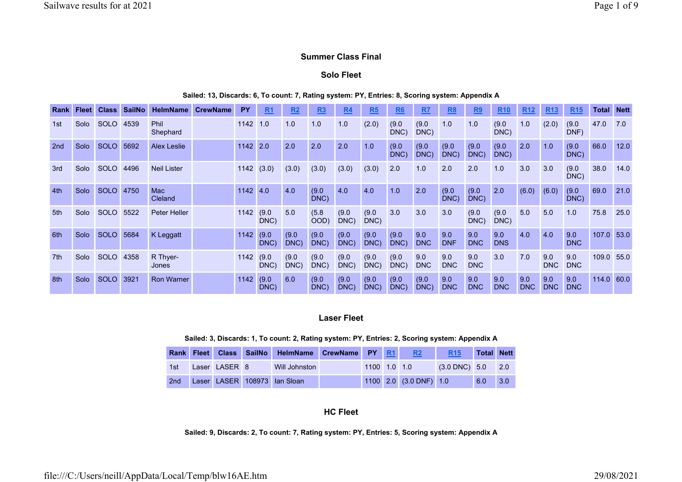## Summer Class Final

## Solo Fleet

### Sailed: 13, Discards: 6, To count: 7, Rating system: PY, Entries: 8, Scoring system: Appendix A

| Rank            | <b>Fleet</b> | <b>Class</b> | <b>SailNo</b> | <b>HelmName</b>    | <b>CrewName</b> | <b>PY</b> | R <sub>1</sub> | R <sub>2</sub> | R3            | R <sub>4</sub> | <b>R5</b>     | R6            | R <sub>7</sub>    | R <sub>8</sub>    | <u>R9</u>         | <b>R10</b>        | <b>R12</b>        | <b>R13</b>        | <b>R15</b>        | <b>Total Nett</b> |      |
|-----------------|--------------|--------------|---------------|--------------------|-----------------|-----------|----------------|----------------|---------------|----------------|---------------|---------------|-------------------|-------------------|-------------------|-------------------|-------------------|-------------------|-------------------|-------------------|------|
| 1st             | Solo         | <b>SOLO</b>  | 4539          | Phil<br>Shephard   |                 | 1142      | 1.0            | 1.0            | 1.0           | 1.0            | (2.0)         | (9.0)<br>DNC) | (9.0)<br>DNC)     | 1.0               | 1.0               | (9.0)<br>DNC)     | 1.0               | (2.0)             | (9.0)<br>DNF)     | 47.0              | 7.0  |
| 2 <sub>nd</sub> | Solo         | <b>SOLO</b>  | 5692          | <b>Alex Leslie</b> |                 | 1142      | 2.0            | 2.0            | 2.0           | 2.0            | 1.0           | (9.0)<br>DNC) | (9.0)<br>DNC)     | (9.0)<br>DNC)     | (9.0)<br>DNC)     | (9.0)<br>DNC)     | 2.0               | 1.0               | (9.0)<br>DNC)     | 66.0              | 12.0 |
| 3rd             | Solo         | <b>SOLO</b>  | 4496          | <b>Neil Lister</b> |                 | 1142(3.0) |                | (3.0)          | (3.0)         | (3.0)          | (3.0)         | 2.0           | 1.0               | 2.0               | 2.0               | 1.0               | 3.0               | 3.0               | (9.0)<br>DNC)     | 38.0              | 14.0 |
| 4th             | Solo         | <b>SOLO</b>  | 4750          | Mac<br>Cleland     |                 | 1142      | 4.0            | 4.0            | (9.0)<br>DNC) | 4.0            | 4.0           | 1.0           | 2.0               | (9.0)<br>DNC)     | (9.0)<br>DNC)     | 2.0               | (6.0)             | (6.0)             | (9.0)<br>DNC)     | 69.0              | 21.0 |
| 5th             | Solo         | <b>SOLO</b>  | 5522          | Peter Heller       |                 | 1142      | (9.0)<br>DNC)  | 5.0            | (5.8)<br>OOD) | (9.0)<br>DNC)  | (9.0)<br>DNC) | 3.0           | 3.0               | 3.0               | (9.0)<br>DNC)     | (9.0)<br>DNC)     | 5.0               | 5.0               | 1.0               | 75.8              | 25.0 |
| 6th             | Solo         | <b>SOLO</b>  | 5684          | K Leggatt          |                 | 1142      | (9.0)<br>DNC)  | (9.0)<br>DNC)  | (9.0)<br>DNC) | (9.0)<br>DNC)  | (9.0)<br>DNC) | (9.0)<br>DNC) | 9.0<br><b>DNC</b> | 9.0<br><b>DNF</b> | 9.0<br><b>DNC</b> | 9.0<br><b>DNS</b> | 4.0               | 4.0               | 9.0<br><b>DNC</b> | 107.0             | 53.0 |
| 7th             | Solo         | <b>SOLO</b>  | 4358          | R Thyer-<br>Jones  |                 | 1142      | (9.0)<br>DNC)  | (9.0)<br>DNC)  | (9.0)<br>DNC) | (9.0)<br>DNC)  | (9.0)<br>DNC) | (9.0)<br>DNC) | 9.0<br><b>DNC</b> | 9.0<br><b>DNC</b> | 9.0<br><b>DNC</b> | 3.0               | 7.0               | 9.0<br>DNC        | 9.0<br><b>DNC</b> | 109.0 55.0        |      |
| 8th             | Solo         | <b>SOLO</b>  | 3921          | <b>Ron Warner</b>  |                 | 1142      | (9.0)<br>DNC)  | 6.0            | (9.0)<br>DNC) | (9.0)<br>DNC)  | (9.0)<br>DNC) | (9.0)<br>DNC) | (9.0)<br>DNC)     | 9.0<br><b>DNC</b> | 9.0<br><b>DNC</b> | 9.0<br><b>DNC</b> | 9.0<br><b>DNC</b> | 9.0<br><b>DNC</b> | 9.0<br><b>DNC</b> | 114.0             | 60.0 |

## Laser Fleet

#### Sailed: 3, Discards: 1, To count: 2, Rating system: PY, Entries: 2, Scoring system: Appendix A

|                 |               | Rank Fleet Class SailNo HelmName CrewName PY R1 |                |                        | <b>R15</b>              | <b>Total Nett</b> |                    |
|-----------------|---------------|-------------------------------------------------|----------------|------------------------|-------------------------|-------------------|--------------------|
| 1st.            | Laser LASER 8 | Will Johnston                                   | $1100$ 1.0 1.0 |                        | $(3.0 \text{ DNC})$ 5.0 |                   | $\blacksquare$ 2.0 |
| 2 <sub>nd</sub> |               | Laser LASER 108973 Ian Sloan                    |                | 1100 2.0 (3.0 DNF) 1.0 |                         | 6.0               | 3.0                |

### HC Fleet

Sailed: 9, Discards: 2, To count: 7, Rating system: PY, Entries: 5, Scoring system: Appendix A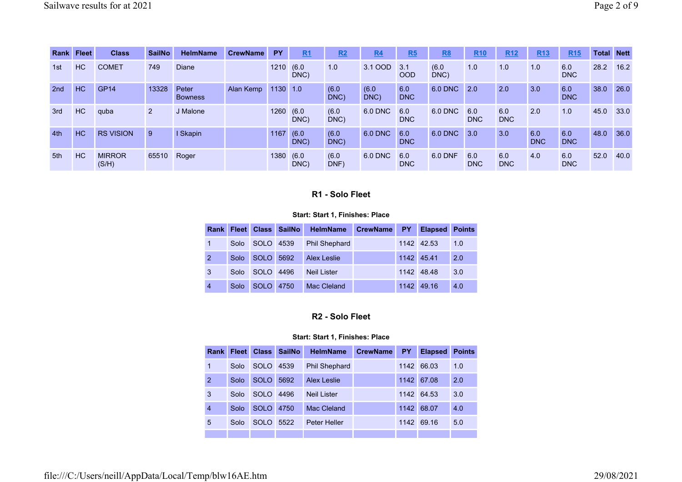|                 | Rank Fleet | <b>Class</b>           | <b>SailNo</b> | <b>HelmName</b>         | <b>CrewName</b> | <b>PY</b> | R1            | R2            | R4            | R5                | <u>R8</u>     | R <sub>10</sub>   | R <sub>12</sub>   | R <sub>13</sub>   | R <sub>15</sub>   | <b>Total</b> | <b>Nett</b> |
|-----------------|------------|------------------------|---------------|-------------------------|-----------------|-----------|---------------|---------------|---------------|-------------------|---------------|-------------------|-------------------|-------------------|-------------------|--------------|-------------|
| 1st             | <b>HC</b>  | <b>COMET</b>           | 749           | <b>Diane</b>            |                 | 1210      | (6.0)<br>DNC) | 1.0           | 3.1 OOD       | 3.1<br><b>OOD</b> | (6.0)<br>DNC) | 1.0               | 1.0               | 1.0               | 6.0<br><b>DNC</b> | 28.2         | 16.2        |
| 2 <sub>nd</sub> | <b>HC</b>  | <b>GP14</b>            | 13328         | Peter<br><b>Bowness</b> | Alan Kemp       | 1130      | 1.0           | (6.0)<br>DNC) | (6.0)<br>DNC) | 6.0<br><b>DNC</b> | 6.0 DNC       | 2.0               | 2.0               | 3.0               | 6.0<br><b>DNC</b> | 38.0         | 26.0        |
| 3rd             | <b>HC</b>  | quba                   | 2             | J Malone                |                 | 1260 (6.0 | DNC)          | (6.0)<br>DNC) | 6.0 DNC       | 6.0<br><b>DNC</b> | 6.0 DNC       | 6.0<br><b>DNC</b> | 6.0<br><b>DNC</b> | 2.0               | 1.0               | 45.0         | 33.0        |
| 4th             | <b>HC</b>  | <b>RS VISION</b>       | 9             | <b>Skapin</b>           |                 | 1167      | (6.0)<br>DNC) | (6.0)<br>DNC) | 6.0 DNC       | 6.0<br><b>DNC</b> | 6.0 DNC       | 3.0               | 3.0               | 6.0<br><b>DNC</b> | 6.0<br><b>DNC</b> | 48.0         | 36.0        |
| 5th             | HC         | <b>MIRROR</b><br>(S/H) | 65510         | Roger                   |                 | 1380(6.0) | DNC)          | (6.0)<br>DNF) | 6.0 DNC       | 6.0<br><b>DNC</b> | 6.0 DNF       | 6.0<br><b>DNC</b> | 6.0<br><b>DNC</b> | 4.0               | 6.0<br><b>DNC</b> | 52.0         | 40.0        |

# R1 - Solo Fleet

### Start: Start 1, Finishes: Place

|                |      |             | Rank Fleet Class SailNo | <b>HelmName</b>      | <b>CrewName</b> | <b>PY</b> | <b>Elapsed</b> | <b>Points</b> |
|----------------|------|-------------|-------------------------|----------------------|-----------------|-----------|----------------|---------------|
| $\mathbf 1$    | Solo | SOLO 4539   |                         | <b>Phil Shephard</b> |                 |           | 1142 42.53     | 1.0           |
| 2              | Solo | SOLO 5692   |                         | <b>Alex Leslie</b>   |                 |           | 1142 45.41     | 2.0           |
| 3              | Solo | <b>SOLO</b> | 4496                    | <b>Neil Lister</b>   |                 |           | 1142 48.48     | 3.0           |
| $\overline{4}$ | Solo | SOLO 4750   |                         | Mac Cleland          |                 |           | 1142 49.16     | 4.0           |

# R2 - Solo Fleet

| Rank           | <b>Fleet</b> | <b>Class</b> | <b>SailNo</b> | <b>HelmName</b>      | <b>CrewName</b> | <b>PY</b> | <b>Elapsed</b> | <b>Points</b> |
|----------------|--------------|--------------|---------------|----------------------|-----------------|-----------|----------------|---------------|
| 1              | Solo         | <b>SOLO</b>  | 4539          | <b>Phil Shephard</b> |                 | 1142      | 66.03          | 1.0           |
| 2              | Solo         | <b>SOLO</b>  | 5692          | Alex Leslie          |                 | 1142      | 67.08          | 2.0           |
| 3              | Solo         | <b>SOLO</b>  | 4496          | <b>Neil Lister</b>   |                 |           | 1142 64.53     | 3.0           |
| $\overline{4}$ | Solo         | <b>SOLO</b>  | 4750          | Mac Cleland          |                 | 1142      | 68.07          | 4.0           |
| 5              | Solo         | SOLO         | 5522          | <b>Peter Heller</b>  |                 | 1142      | 69.16          | 5.0           |
|                |              |              |               |                      |                 |           |                |               |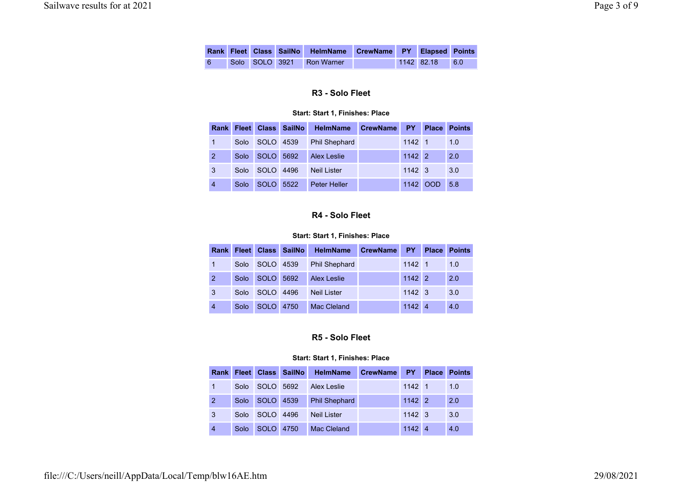|   |  | Rank Fleet Class SailNo HelmName CrewName PY Elapsed Points |  |              |     |
|---|--|-------------------------------------------------------------|--|--------------|-----|
| 6 |  | Solo SOLO 3921 Ron Warner                                   |  | $1142$ 82.18 | 6.0 |

# R3 - Solo Fleet

### Start: Start 1, Finishes: Place

|                |      |           | Rank Fleet Class SailNo | HelmName                | <b>CrewName</b> | <b>PY</b>      | <b>Place</b> | <b>Points</b> |
|----------------|------|-----------|-------------------------|-------------------------|-----------------|----------------|--------------|---------------|
|                | Solo |           |                         | SOLO 4539 Phil Shephard |                 | 1142 1         |              | 1.0           |
| $\overline{2}$ | Solo | SOLO 5692 |                         | <b>Alex Leslie</b>      |                 | $1142$ 2       |              | 2.0           |
| 3              | Solo | SOLO      | 4496                    | <b>Neil Lister</b>      |                 | $1142 \quad 3$ |              | 3.0           |
| 4              | Solo | SOLO 5522 |                         | <b>Peter Heller</b>     |                 |                | 1142 OOD     | 5.8           |

# R4 - Solo Fleet

### Start: Start 1, Finishes: Place

|                |                | Rank Fleet Class SailNo HelmName CrewName |                | <b>PY</b> Place | <b>Points</b> |
|----------------|----------------|-------------------------------------------|----------------|-----------------|---------------|
| $\blacksquare$ |                | Solo SOLO 4539 Phil Shephard              | 1142 1         |                 | 1.0           |
| $\overline{2}$ | Solo SOLO 5692 | Alex Leslie                               | $1142$ 2       |                 | 2.0           |
| 3              | Solo SOLO 4496 | <b>Neil Lister</b>                        | $1142 \quad 3$ |                 | 3.0           |
| $\overline{4}$ | Solo SOLO 4750 | <b>Mac Cleland</b>                        | $1142 \ 4$     |                 | 4.0           |

# R5 - Solo Fleet

|                |      |           | Rank Fleet Class SailNo | HelmName             | <b>CrewName</b> | <b>PY</b>      | <b>Place</b> | <b>Points</b> |
|----------------|------|-----------|-------------------------|----------------------|-----------------|----------------|--------------|---------------|
| 1              | Solo | SOLO 5692 |                         | Alex Leslie          |                 | $1142 \quad 1$ |              | 1.0           |
| $\overline{2}$ | Solo | SOLO 4539 |                         | <b>Phil Shephard</b> |                 | $1142$ 2       |              | 2.0           |
| 3              | Solo | SOLO.     | 4496                    | <b>Neil Lister</b>   |                 | $1142 \quad 3$ |              | 3.0           |
| $\overline{4}$ | Solo | SOLO 4750 |                         | Mac Cleland          |                 | 1142 4         |              | 4.0           |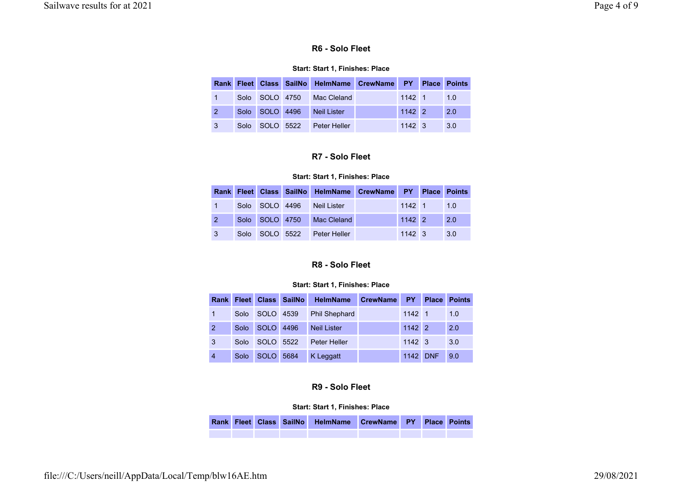## R6 - Solo Fleet

### Start: Start 1, Finishes: Place

|              |                | Rank Fleet Class SailNo HelmName CrewName PY Place Points |                |          |     |
|--------------|----------------|-----------------------------------------------------------|----------------|----------|-----|
|              |                | Solo SOLO 4750 Mac Cleland                                |                | $1142$ 1 | 1.0 |
| 2            | Solo SOLO 4496 | <b>Neil Lister</b>                                        | 1142 2         |          | 2.0 |
| $\mathbf{3}$ | Solo SOLO 5522 | Peter Heller                                              | $1142 \quad 3$ |          | 3.0 |

# R7 - Solo Fleet

#### Start: Start 1, Finishes: Place

|    |                |                | Rank Fleet Class SailNo HelmName CrewName PY Place Points |                |     |
|----|----------------|----------------|-----------------------------------------------------------|----------------|-----|
|    |                | Solo SOLO 4496 | <b>Neil Lister</b>                                        | $1142$ 1       | 1.0 |
| 2  |                |                | Solo SOLO 4750 Mac Cleland                                | $1142$ 2       | 2.0 |
| -3 | Solo SOLO 5522 |                | Peter Heller                                              | $1142 \quad 3$ | 3.0 |

# R8 - Solo Fleet

#### Start: Start 1, Finishes: Place

|                |      |           | Rank Fleet Class SailNo | HelmName             | <b>CrewName</b> | <b>PY</b>      | <b>Place</b> | <b>Points</b> |
|----------------|------|-----------|-------------------------|----------------------|-----------------|----------------|--------------|---------------|
| 1              | Solo | SOLO 4539 |                         | <b>Phil Shephard</b> |                 | 1142 1         |              | 1.0           |
| $\overline{2}$ | Solo | SOLO 4496 |                         | <b>Neil Lister</b>   |                 | $1142$ 2       |              | 2.0           |
| 3              | Solo | SOLO 5522 |                         | Peter Heller         |                 | $1142 \quad 3$ |              | 3.0           |
| $\overline{4}$ | Solo | SOLO 5684 |                         | K Leggatt            |                 | 1142 DNF       |              | 9.0           |

# R9 - Solo Fleet

#### Start: Start 1, Finishes: Place

|  |  | Rank Fleet Class SailNo HelmName CrewName PY Place Points |  |  |
|--|--|-----------------------------------------------------------|--|--|
|  |  |                                                           |  |  |

file:///C:/Users/neill/AppData/Local/Temp/blw16AE.htm 29/08/2021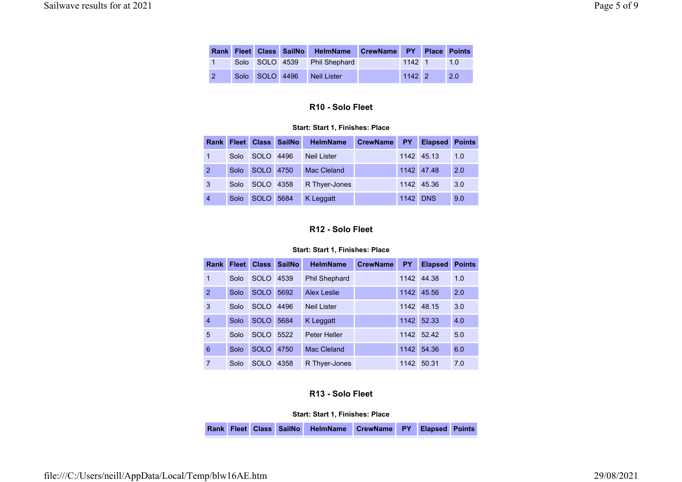|  |                | Rank Fleet Class SailNo HelmName CrewName PY Place Points |          |        |
|--|----------------|-----------------------------------------------------------|----------|--------|
|  |                | Solo SOLO 4539 Phil Shephard                              | $1142$ 1 | $-1.0$ |
|  | Solo SOLO 4496 | Neil Lister                                               | $1142$ 2 | 2.0    |

# R10 - Solo Fleet

#### Start: Start 1, Finishes: Place

|                |      |                   | Rank Fleet Class SailNo | <b>HelmName</b>    | CrewName | <b>PY</b>       | <b>Elapsed</b> | <b>Points</b> |
|----------------|------|-------------------|-------------------------|--------------------|----------|-----------------|----------------|---------------|
|                | Solo | SOLO <sub>.</sub> | 4496                    | <b>Neil Lister</b> |          |                 | 1142 45.13     | 1.0           |
| $\overline{2}$ | Solo | SOLO 4750         |                         | Mac Cleland        |          |                 | 1142 47.48     | 2.0           |
| 3              | Solo | SOLO 4358         |                         | R Thyer-Jones      |          |                 | 1142 45.36     | 3.0           |
| $\overline{4}$ | Solo | <b>SOLO</b>       | 5684                    | K Leggatt          |          | <b>1142 DNS</b> |                | 9.0           |

# R12 - Solo Fleet

#### Start: Start 1, Finishes: Place

| Rank           | <b>Fleet</b> | <b>Class</b> | <b>SailNo</b> | <b>HelmName</b>      | <b>CrewName</b> | <b>PY</b> | <b>Elapsed</b> | <b>Points</b> |
|----------------|--------------|--------------|---------------|----------------------|-----------------|-----------|----------------|---------------|
| 1              | Solo         | SOLO.        | 4539          | <b>Phil Shephard</b> |                 | 1142      | 44.38          | 1.0           |
| $\overline{2}$ | Solo         | <b>SOLO</b>  | 5692          | Alex Leslie          |                 |           | 1142 45.56     | 2.0           |
| 3              | Solo         | SOLO.        | 4496          | <b>Neil Lister</b>   |                 | 1142      | 48.15          | 3.0           |
| $\overline{4}$ | Solo         | <b>SOLO</b>  | 5684          | K Leggatt            |                 | 1142      | 52.33          | 4.0           |
| 5              | Solo         | SOLO.        | 5522          | <b>Peter Heller</b>  |                 | 1142      | 52.42          | 5.0           |
| 6              | Solo         | <b>SOLO</b>  | 4750          | Mac Cleland          |                 | 1142      | 54.36          | 6.0           |
| $\overline{7}$ | Solo         | <b>SOLO</b>  | 4358          | R Thyer-Jones        |                 | 1142      | 50.31          | 7.0           |

# R13 - Solo Fleet

## Start: Start 1, Finishes: Place

Rank Fleet Class SailNo HelmName CrewName PY Elapsed Points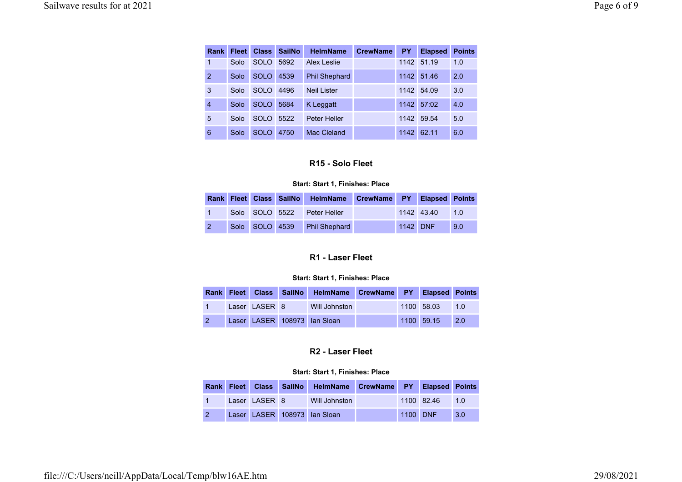| <b>Rank</b>    | <b>Fleet</b> | <b>Class</b> | <b>SailNo</b> | <b>HelmName</b>      | <b>CrewName</b> | <b>PY</b> | <b>Elapsed</b> | <b>Points</b> |
|----------------|--------------|--------------|---------------|----------------------|-----------------|-----------|----------------|---------------|
| 1              | Solo         | SOLO.        | 5692          | Alex Leslie          |                 | 1142      | 51.19          | 1.0           |
| $\overline{2}$ | Solo         | <b>SOLO</b>  | 4539          | <b>Phil Shephard</b> |                 | 1142      | 51.46          | 2.0           |
| 3              | Solo         | <b>SOLO</b>  | 4496          | <b>Neil Lister</b>   |                 | 1142      | 54.09          | 3.0           |
| $\overline{4}$ | Solo         | <b>SOLO</b>  | 5684          | K Leggatt            |                 | 1142      | 57:02          | 4.0           |
| 5              | Solo         | SOLO.        | 5522          | <b>Peter Heller</b>  |                 | 1142      | 59.54          | 5.0           |
| 6              | Solo         | <b>SOLO</b>  | 4750          | Mac Cleland          |                 | 1142      | 62.11          | 6.0           |

# R15 - Solo Fleet

### Start: Start 1, Finishes: Place

|            |  | Rank Fleet Class SailNo HelmName CrewName PY Elapsed Points |  |                |     |
|------------|--|-------------------------------------------------------------|--|----------------|-----|
|            |  | Solo SOLO 5522 Peter Heller                                 |  | 1142 43.40 1.0 |     |
| $\sqrt{2}$ |  | Solo SOLO 4539 Phil Shephard                                |  | 1142 DNF       | 9.0 |

# R1 - Laser Fleet

### Start: Start 1, Finishes: Place

|                |               | Rank Fleet Class SailNo HelmName CrewName PY Elapsed Points |  |            |     |
|----------------|---------------|-------------------------------------------------------------|--|------------|-----|
|                | Laser LASER 8 | Will Johnston                                               |  | 1100 58.03 | 1.0 |
| $\overline{2}$ |               | Laser LASER 108973 Ian Sloan                                |  | 1100 59.15 | 2.0 |

# R2 - Laser Fleet

|  |               | Rank Fleet Class SailNo HelmName CrewName PY Elapsed Points |          |              |     |
|--|---------------|-------------------------------------------------------------|----------|--------------|-----|
|  | Laser LASER 8 | Will Johnston                                               |          | $1100$ 82.46 | 1.0 |
|  |               | Laser LASER 108973 Ian Sloan                                | 1100 DNF |              | 3.0 |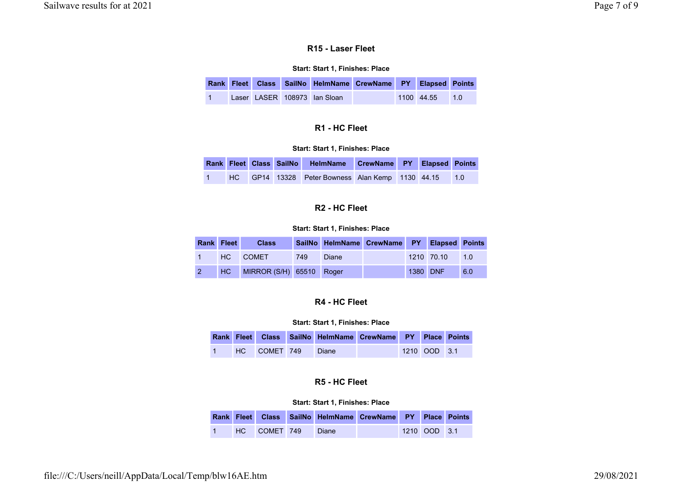## R15 - Laser Fleet

### Start: Start 1, Finishes: Place

|  |  |                              | Rank Fleet Class SailNo HelmName CrewName PY Elapsed Points |                |  |
|--|--|------------------------------|-------------------------------------------------------------|----------------|--|
|  |  | Laser LASER 108973 Ian Sloan |                                                             | 1100 44.55 1.0 |  |

## R1 - HC Fleet

### Start: Start 1, Finishes: Place

|   |  | Rank Fleet Class SailNo HelmName CrewName PY Elapsed Points |  |  |
|---|--|-------------------------------------------------------------|--|--|
| 1 |  | HC GP14 13328 Peter Bowness Alan Kemp 1130 44.15 1.0        |  |  |

# R2 - HC Fleet

#### Start: Start 1, Finishes: Place

|                | Rank Fleet | <b>Class</b>                |     |       | SailNo HelmName CrewName PY Elapsed Points |          |            |                    |
|----------------|------------|-----------------------------|-----|-------|--------------------------------------------|----------|------------|--------------------|
|                |            | HC COMET                    | 749 | Diane |                                            |          | 1210 70.10 | $\blacksquare$ 1.0 |
| $\overline{2}$ |            | HC MIRROR (S/H) 65510 Roger |     |       |                                            | 1380 DNF |            | 6.0                |

# R4 - HC Fleet

#### Start: Start 1, Finishes: Place

|  |              | Rank Fleet Class SailNo HelmName CrewName PY Place Points |  |              |  |
|--|--------------|-----------------------------------------------------------|--|--------------|--|
|  | HC COMET 749 | Diane                                                     |  | 1210 OOD 3.1 |  |

# R5 - HC Fleet

|  |              | Rank Fleet Class SailNo HelmName CrewName PY Place Points |  |              |  |
|--|--------------|-----------------------------------------------------------|--|--------------|--|
|  | HC COMET 749 | Diane                                                     |  | 1210 OOD 3.1 |  |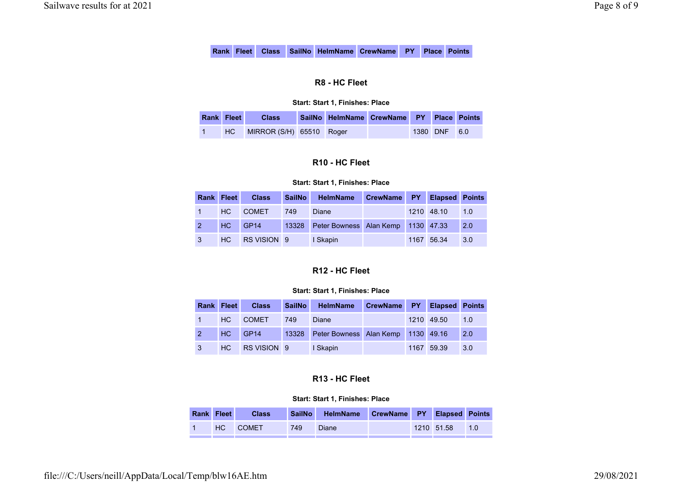# R8 - HC Fleet

### Start: Start 1, Finishes: Place

| Rank Fleet | <b>Class</b>             | SailNo HelmName CrewName PY Place Points |  |              |  |
|------------|--------------------------|------------------------------------------|--|--------------|--|
| HC.        | MIRROR (S/H) 65510 Roger |                                          |  | 1380 DNF 6.0 |  |

# R10 - HC Fleet

### Start: Start 1, Finishes: Place

|  | <b>Rank Fleet</b> Class   | SailNo | <b>HelmName</b>                              | CrewName PY Elapsed Points |                |  |
|--|---------------------------|--------|----------------------------------------------|----------------------------|----------------|--|
|  | 1 HC COMET                | 749    | Diane                                        |                            | 1210 48.10 1.0 |  |
|  | 2 HC GP14                 |        | 13328 Peter Bowness Alan Kemp 1130 47.33 2.0 |                            |                |  |
|  | 3 HC RS VISION 9 I Skapin |        |                                              |                            | 1167 56.34 3.0 |  |

# R12 - HC Fleet

### Start: Start 1, Finishes: Place

|               | Rank Fleet Class |     | SailNo HelmName                          | CrewName PY Elapsed Points |                |     |
|---------------|------------------|-----|------------------------------------------|----------------------------|----------------|-----|
| $\sim$ $\sim$ | <b>HC COMET</b>  | 749 | Diane                                    |                            | 1210 49.50 1.0 |     |
|               | 2 HC GP14        |     | 13328 Peter Bowness Alan Kemp 1130 49.16 |                            |                | 2.0 |
| $\mathbf{3}$  | HC RS VISION 9   |     | I Skapin                                 |                            | 1167 59.39     | 3.0 |

# R13 - HC Fleet

| Rank Fleet | <b>Class</b> | <b>SailNo</b> | <b>HelmName</b> | CrewName PY Elapsed Points |            |     |
|------------|--------------|---------------|-----------------|----------------------------|------------|-----|
| HC         | <b>COMET</b> | 749           | <b>Diane</b>    |                            | 1210 51.58 | 1.0 |